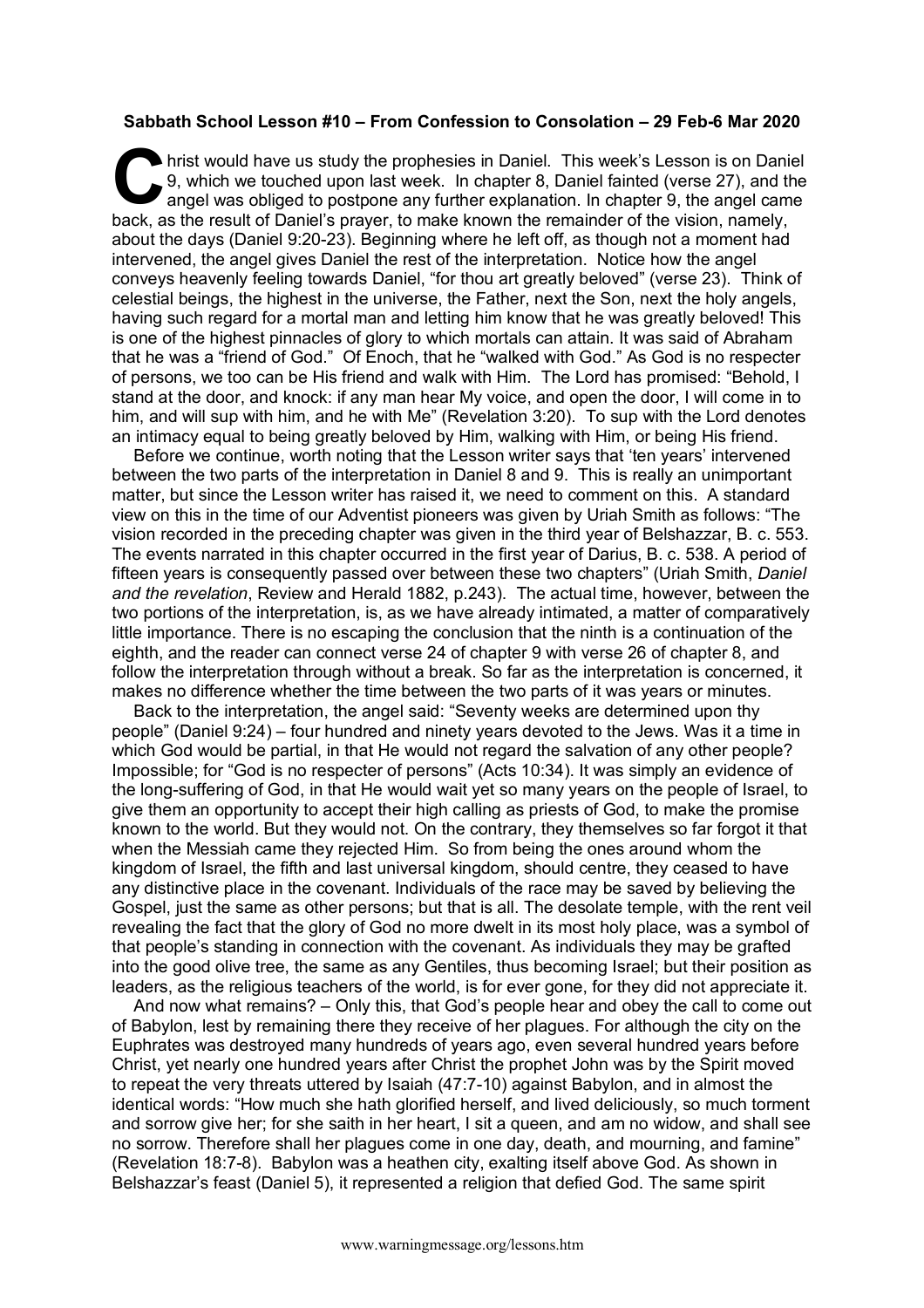## **Sabbath School Lesson #10 – From Confession to Consolation – 29 Feb-6 Mar 2020**

hrist would have us study the prophesies in Daniel. This week's Lesson is on Daniel 9, which we touched upon last week. In chapter 8, Daniel fainted (verse 27), and the angel was obliged to postpone any further explanation. In chapter 9, the angel came back, as the result of Daniel's prayer, to make known the remainder of the vision, namely, about the days (Daniel 9:20-23). Beginning where he left off, as though not a moment had intervened, the angel gives Daniel the rest of the interpretation. Notice how the angel conveys heavenly feeling towards Daniel, "for thou art greatly beloved" (verse 23). Think of celestial beings, the highest in the universe, the Father, next the Son, next the holy angels, having such regard for a mortal man and letting him know that he was greatly beloved! This is one of the highest pinnacles of glory to which mortals can attain. It was said of Abraham that he was a "friend of God." Of Enoch, that he "walked with God." As God is no respecter of persons, we too can be His friend and walk with Him. The Lord has promised: "Behold, I stand at the door, and knock: if any man hear My voice, and open the door, I will come in to him, and will sup with him, and he with Me" (Revelation 3:20). To sup with the Lord denotes an intimacy equal to being greatly beloved by Him, walking with Him, or being His friend.  $\bigodot$  and  $\bigodot$  and  $\bigodot$ 

Before we continue, worth noting that the Lesson writer says that 'ten years' intervened between the two parts of the interpretation in Daniel 8 and 9. This is really an unimportant matter, but since the Lesson writer has raised it, we need to comment on this. A standard view on this in the time of our Adventist pioneers was given by Uriah Smith as follows: "The vision recorded in the preceding chapter was given in the third year of Belshazzar, B. c. 553. The events narrated in this chapter occurred in the first year of Darius, B. c. 538. A period of fifteen years is consequently passed over between these two chapters" (Uriah Smith, *Daniel and the revelation*, Review and Herald 1882, p.243). The actual time, however, between the two portions of the interpretation, is, as we have already intimated, a matter of comparatively little importance. There is no escaping the conclusion that the ninth is a continuation of the eighth, and the reader can connect verse 24 of chapter 9 with verse 26 of chapter 8, and follow the interpretation through without a break. So far as the interpretation is concerned, it makes no difference whether the time between the two parts of it was years or minutes.

Back to the interpretation, the angel said: "Seventy weeks are determined upon thy people" (Daniel 9:24) – four hundred and ninety years devoted to the Jews. Was it a time in which God would be partial, in that He would not regard the salvation of any other people? Impossible; for "God is no respecter of persons" (Acts 10:34). It was simply an evidence of the long-suffering of God, in that He would wait yet so many years on the people of Israel, to give them an opportunity to accept their high calling as priests of God, to make the promise known to the world. But they would not. On the contrary, they themselves so far forgot it that when the Messiah came they rejected Him. So from being the ones around whom the kingdom of Israel, the fifth and last universal kingdom, should centre, they ceased to have any distinctive place in the covenant. Individuals of the race may be saved by believing the Gospel, just the same as other persons; but that is all. The desolate temple, with the rent veil revealing the fact that the glory of God no more dwelt in its most holy place, was a symbol of that people's standing in connection with the covenant. As individuals they may be grafted into the good olive tree, the same as any Gentiles, thus becoming Israel; but their position as leaders, as the religious teachers of the world, is for ever gone, for they did not appreciate it.

And now what remains? – Only this, that God's people hear and obey the call to come out of Babylon, lest by remaining there they receive of her plagues. For although the city on the Euphrates was destroyed many hundreds of years ago, even several hundred years before Christ, yet nearly one hundred years after Christ the prophet John was by the Spirit moved to repeat the very threats uttered by Isaiah (47:7-10) against Babylon, and in almost the identical words: "How much she hath glorified herself, and lived deliciously, so much torment and sorrow give her; for she saith in her heart, I sit a queen, and am no widow, and shall see no sorrow. Therefore shall her plagues come in one day, death, and mourning, and famine" (Revelation 18:7-8). Babylon was a heathen city, exalting itself above God. As shown in Belshazzar's feast (Daniel 5), it represented a religion that defied God. The same spirit